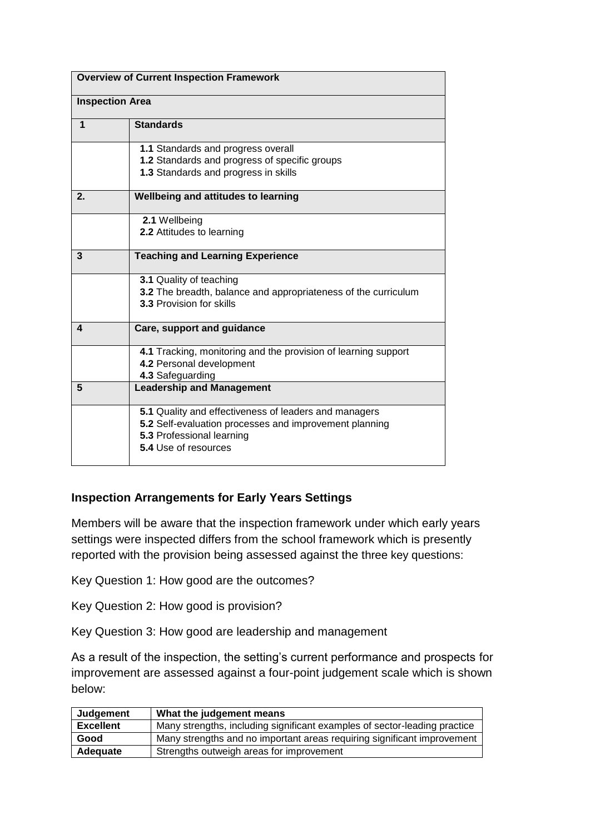| <b>Overview of Current Inspection Framework</b> |                                                                                            |  |
|-------------------------------------------------|--------------------------------------------------------------------------------------------|--|
| <b>Inspection Area</b>                          |                                                                                            |  |
| 1                                               | <b>Standards</b>                                                                           |  |
|                                                 | 1.1 Standards and progress overall                                                         |  |
|                                                 | 1.2 Standards and progress of specific groups<br>1.3 Standards and progress in skills      |  |
| 2.                                              | Wellbeing and attitudes to learning                                                        |  |
|                                                 | 2.1 Wellbeing                                                                              |  |
|                                                 | 2.2 Attitudes to learning                                                                  |  |
| 3                                               | <b>Teaching and Learning Experience</b>                                                    |  |
|                                                 | 3.1 Quality of teaching<br>3.2 The breadth, balance and appropriateness of the curriculum  |  |
|                                                 | 3.3 Provision for skills                                                                   |  |
| 4                                               | Care, support and guidance                                                                 |  |
|                                                 | 4.1 Tracking, monitoring and the provision of learning support<br>4.2 Personal development |  |
|                                                 | 4.3 Safeguarding                                                                           |  |
| 5                                               | <b>Leadership and Management</b>                                                           |  |
|                                                 | 5.1 Quality and effectiveness of leaders and managers                                      |  |
|                                                 | 5.2 Self-evaluation processes and improvement planning<br>5.3 Professional learning        |  |
|                                                 | 5.4 Use of resources                                                                       |  |
|                                                 |                                                                                            |  |

## **Inspection Arrangements for Early Years Settings**

Members will be aware that the inspection framework under which early years settings were inspected differs from the school framework which is presently reported with the provision being assessed against the three key questions:

Key Question 1: How good are the outcomes?

Key Question 2: How good is provision?

Key Question 3: How good are leadership and management

As a result of the inspection, the setting's current performance and prospects for improvement are assessed against a four-point judgement scale which is shown below:

| Judgement        | What the judgement means                                                  |
|------------------|---------------------------------------------------------------------------|
| <b>Excellent</b> | Many strengths, including significant examples of sector-leading practice |
| Good             | Many strengths and no important areas requiring significant improvement   |
| Adequate         | Strengths outweigh areas for improvement                                  |